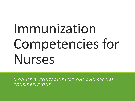# Immunization Competencies for Nurses

*MODULE 3*: *CONTRAINDICATIONS AND SPECIAL CONSIDERATIONS*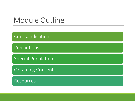### Module Outline

Contraindications

Precautions

Special Populations

Obtaining Consent

Resources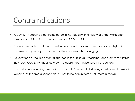#### Contraindications

- $\checkmark$  A COVID-19 vaccine is contraindicated in individuals with a history of anaphylaxis after previous administration of the vaccine at a RCDHU clinic.
- $\checkmark$  The vaccine is also contraindicated in persons with proven immediate or anaphylactic hypersensitivity to any component of the vaccine or its packaging.
- $\checkmark$  Polyethylene glycol is a potential allergen in the Spikevax (Moderna) and Comirnaty (Pfizer-BioNTech) COVID-19 vaccines known to cause type 1 hypersensitivity reactions.
- $\checkmark$  If an individual was diagnosed with myocarditis/pericarditis following a first dose of a mRNA vaccine, at this time a second dose is not to be administered until more is known.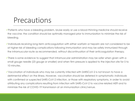#### Precautions

- ✓Patients who have a bleeding problem, bruise easily or use a blood-thinning medicine should receive the vaccine; the condition should be optimally managed prior to immunization to minimize the risk of bleeding.
- ✓Individuals receiving long-term anticoagulation with either warfarin or heparin are not considered to be at higher risk of bleeding complications following immunization and may be safely immunized through the intramuscular route as recommended, without discontinuation of their anticoagulation therapy.
- ✓There is some evidence to suggest that intramuscular administration may be safer when given with a small gauge needle (23 gauge or smaller) and when firm pressure is applied to the injection site for 5 to 10 minutes.
- ✓Vaccination of individuals who may be currently infected with SARSCoV-2 is not known to have a detrimental effect on the illness. However, vaccination should be deferred in symptomatic individuals with confirmed or suspected SARS-CoV-2 infection, or those with respiratory symptoms, in order to avoid attributing any complications resulting from infection with SARS-CoV-2 to vaccine related AEFI and to minimize the risk of COVID-19 transmission at an immunization clinic/venue.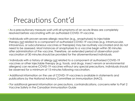### Precautions Cont'd

- ✓As a precautionary measure wait until all symptoms of an acute illness are completely resolved before vaccinating with an authorized COVID-19 vaccine.
- ✓Individuals with proven severe allergic reaction (e.g., anaphylaxis) to injectable therapy not related to a component of authorized COVID-19 vaccines (e.g. intramuscular, intravenous, or subcutaneous vaccines or therapies) may be routinely vaccinated and do not need to be assessed. Most instances of anaphylaxis to a vaccine begin within 30 minutes after administration of the vaccine. Therefore, an extended period of observation postvaccination of 30 minutes should be provided for the aforementioned individuals.
- ✓Individuals with a history of allergy not related to a component of authorized COVID-19 vaccines or other injectable therapy (e.g. foods, oral drugs, insect venom or environmental allergens) can receive COVID-19 vaccines without any special precautions. Individuals should be observed for a minimum of 15 minutes following vaccination.
- ✓Additional information on the use of COVID-19 vaccines is available in statements and publications by the National Advisory Committee on Immunization (NACI).
- ✓For additional general information on precautions, contraindications, concerns refer to Part 2 Vaccine Safety in the Canadian Immunization Guide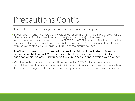### Precautions Cont'd

 $\checkmark$  For children 5-11 years of age, a few more precautions are in place.

✓NACI recommends that COVID-19 vaccines for children 5-11 years old should not be given concomitantly with other vaccines (live or non-live) at this time. It is recommended to wait at least 14 days BEFORE or AFTER the administration of another vaccine before administration of a COVID-19 vaccine. Concomitant administration may be warranted on an individual basis in some circumstances

✓NACI recommends that children with a previous history of multisystem inflammatory syndrome in children (MIS-C), vaccination should be postponed until clinical recovery has been achieved or until it has been >90 days since diagnosis, whichever is longer.

✓Children with a history of myocarditis unrelated to COVID-19 vaccination should consult their health care provider for individual considerations and recommendations. If they are no longer under active care for myocarditis, they may receive the vaccine.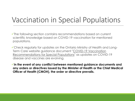### Vaccination in Special Populations

✓The following section contains recommendations based on current scientific knowledge based on COVID-19 vaccination for mentioned populations.

✓Check regularly for updates on the Ontario Ministry of Health and Long-Term Care website guidance document "COVID-19 Vaccination [Recommendations for Special Populations" as updates on COVID](https://www.health.gov.on.ca/en/pro/programs/publichealth/coronavirus/docs/vaccine/COVID-19_vaccination_rec_special_populations.pdf)-19 disease and vaccines are evolving.

✓**In the event of any conflict between mentioned guidance documents and any orders or directives issued by the Minister of Health or the Chief Medical Officer of Health (CMOH), the order or directive prevails.**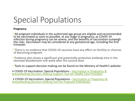#### **Pregnancy**

✓All pregnant individuals in the authorized age group are eligible and recommended to be vaccinated as soon as possible, at any stage in pregnancy, as COVID-19 infection during pregnancy can be severe, and the benefits of vaccination outweigh the risks. Vaccination may be considered at any gestational age, including the first trimester.

 $\checkmark$ There is no evidence that COVID-19 vaccines have any effect on fertility or chances of becoming pregnant.

✓Evidence also shows a significant and potentially protective antibody titre in the neonatal bloodstream one week after the second dose

 $\checkmark$  Tools to support decision making can be found on the Ministry of Health's website:

• COVID-19 Vaccination: Special Populations - Vaccination in Pregnancy & [Breastfeeding Decision-Making Support Tool for Health Care Providers](https://www.health.gov.on.ca/en/pro/programs/publichealth/coronavirus/docs/vaccine/COVID-19_vaccination_pregnancy_clinical_support_tool.pdf)

• COVID-19 Vaccination: Special Populations - Vaccination in Pregnancy & [Breastfeeding Decision-Making Tool for Pregnant Individuals.](https://www.health.gov.on.ca/en/pro/programs/publichealth/coronavirus/docs/vaccine/COVID-19_vaccination_pregnancy_decision_making_support_tool.pdf)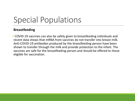#### **Breastfeeding**

✓COVID-19 vaccines can also be safely given to breastfeeding individuals and recent data shows that mRNA from vaccines do not transfer into breast milk. Anti-COVID-19 antibodies produced by the breastfeeding person have been shown to transfer through the milk and provide protection to the infant. The vaccines are safe for the breastfeeding person and should be offered to those eligible for vaccination.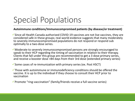#### **Autoimmune conditions/Immunocompromised patients (by disease/or treatment)**

 $\checkmark$  Since all Health Canada authorized COVID-19 vaccines are not live vaccines, they are considered safe in these groups; real-world evidence suggests that many moderately to severely immunocompromised populations do not respond or respond sub optimally to a two-dose series.

✓Moderate to severely immunocompromised persons are strongly encouraged to speak to their HCP regarding the timing of vaccination in relation to their therapy. Clients that fall under this group are recommended to get a 3 dose primary series, and receive a booster dose >84 days from their 3rd dose (extended primary series)

 $\checkmark$  Some cases of re-immunization with primary series (ex. Post HSCT)

 $\checkmark$  Those with autoimmune or immunodeficiency conditions should be offered the vaccine. It is up to the individual if they choose to consult their HCP prior to vaccination

✓Promote "ring-vaccination" (family/friends receive a full vaccine series)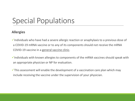#### **Allergies**

✓Individuals who have had a severe allergic reaction or anaphylaxis to a previous dose of a COVID-19 mRNA vaccine or to any of its components should not receive the mRNA COVID-19 vaccine in a general vaccine clinic.

 $\checkmark$  Individuals with known allergies to components of the mRNA vaccines should speak with an appropriate physician or NP for evaluation.

 $\checkmark$ This assessment will enable the development of a vaccination care plan which may include receiving the vaccine under the supervision of your physician.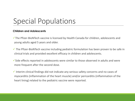#### **Children and Adolescents**

- ✓The Pfizer-BioNTech vaccine is licensed by Health Canada for children, adolescents and young adults aged 5 years and older.
- $\checkmark$  The Pfizer-BioNTech vaccine including pediatric formulation has been proven to be safe in clinical trials and provided excellent efficacy in children and adolescents.
- $\checkmark$  Side effects reported in adolescents were similar to those observed in adults and were more frequent after the second dose.
- $\checkmark$  Interim clinical findings did not indicate any serious safety concerns and no cases of myocarditis (inflammation of the heart muscle) and/or pericarditis (inflammation of the heart lining) related to the pediatric vaccine were reported.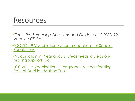#### Resources

✓Tool - *Pre-Screening Questions and Guidance: COVID-19 Vaccine Clinics*

✓[COVID-19 Vaccination Recommendations for Special](https://www.health.gov.on.ca/en/pro/programs/publichealth/coronavirus/docs/vaccine/COVID-19_vaccination_rec_special_populations.pdf)  **Populations** 

✓[Vaccination in Pregnancy & Breastfeeding Decision-](https://www.health.gov.on.ca/en/pro/programs/publichealth/coronavirus/docs/vaccine/COVID-19_vaccination_pregnancy_clinical_support_tool.pdf)Making Support Tool

✓[COVID-19 Vaccination in Pregnancy & Breastfeeding](https://www.health.gov.on.ca/en/pro/programs/publichealth/coronavirus/docs/vaccine/COVID-19_vaccination_pregnancy_decision_making_support_tool.pdf)  Patient Decision-Making Tool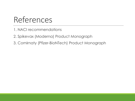## References

1. NACI recommendations

2. Spikevax (Moderna) Product Monograph

3. Comirnaty (Pfizer-BioNTech) Product Monograph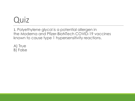1. Polyethylene glycol is a potential allergen in the Moderna and Pfizer-BioNTech COVID-19 vaccines known to cause type 1 hypersensitivity reactions.

A) True B) False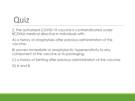2. The authorized COVID-19 vaccine is contraindicated under RCDHUs medical directive in individuals with:

A) a history of anaphylaxis after previous administration of the vaccine.

B) proven immediate or anaphylactic hypersensitivity to any component of the vaccine or its packaging.

C) a history of fainting after previous administration of the vaccine.

D) A and B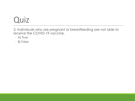3. Individuals who are pregnant or breastfeeding are not able to receive the COVID-19 vaccine.

- A) True
- B) False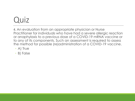4. An evaluation from an appropriate physician or Nurse Practitioner for individuals who have had a severe allergic reaction or anaphylaxis to a previous dose of a COVID-19 mRNA vaccine or to any of its components. Such an assessment is required to assess the method for possible (re)administration of a COVID-19 vaccine.

- A) True
- B) False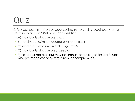5. Verbal confirmation of counselling received is required prior to vaccination of COVID-19 vaccines for:

- A) individuals who are pregnant
- B) autoimmune/immunocompromised persons
- C) individuals who are over the age of 65
- D) individuals who are breastfeeding
- E) no longer required but may be strongly encouraged for individuals who are moderate to severely immunocompromised.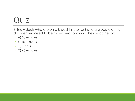6. Individuals who are on a blood thinner or have a blood clotting disorder, will need to be monitored following their vaccine for:

- A) 30 minutes
- B) 15 minutes
- C) 1 hour
- D) 45 minutes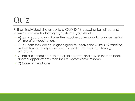7. If an individual shows up to a COVID-19 vaccination clinic and screens positive for having symptoms, you should:

- A) go ahead and administer the vaccine but monitor for a longer period of time after vaccination.
- B) tell them they are no longer eligible to receive the COVID-19 vaccine, as they have already developed natural antibodies from having symptoms.
- C) not allow them entry to the clinic that day and advise them to book another appointment when their symptoms have resolved.
- D) None of the above.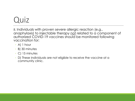8. Individuals with proven severe allergic reaction (e.g., anaphylaxis) to injectable therapy not related to a component of authorized COVID-19 vaccines should be monitored following vaccination for:

- A) 1 hour
- B) 30 minutes
- C) 15 minutes
- D) These individuals are not eligible to receive the vaccine at a community clinic.